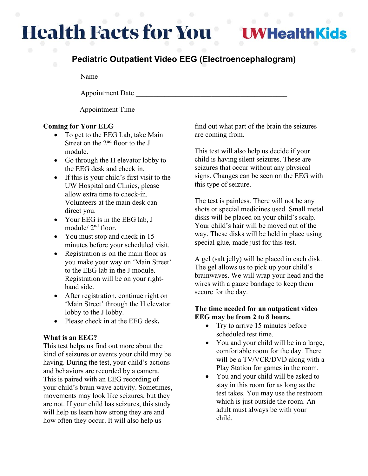# **Health Facts for You**

**UWHealthKids** 

# **Pediatric Outpatient Video EEG (Electroencephalogram)**

Name

Appointment Date \_\_\_\_\_\_\_\_\_\_\_\_\_\_\_\_\_\_\_\_\_\_\_\_\_\_\_\_\_\_\_\_\_\_\_\_\_\_\_\_\_\_

Appointment Time

# **Coming for Your EEG**

- To get to the EEG Lab, take Main Street on the 2<sup>nd</sup> floor to the J module.
- Go through the H elevator lobby to the EEG desk and check in.
- If this is your child's first visit to the UW Hospital and Clinics, please allow extra time to check-in. Volunteers at the main desk can direct you.
- Your EEG is in the EEG lab, J module/ 2nd floor.
- You must stop and check in 15 minutes before your scheduled visit.
- Registration is on the main floor as you make your way on 'Main Street' to the EEG lab in the J module. Registration will be on your righthand side.
- After registration, continue right on 'Main Street' through the H elevator lobby to the J lobby.
- Please check in at the EEG desk**.**

# **What is an EEG?**

This test helps us find out more about the kind of seizures or events your child may be having. During the test, your child's actions and behaviors are recorded by a camera. This is paired with an EEG recording of your child's brain wave activity. Sometimes, movements may look like seizures, but they are not. If your child has seizures, this study will help us learn how strong they are and how often they occur. It will also help us

find out what part of the brain the seizures are coming from.

This test will also help us decide if your child is having silent seizures. These are seizures that occur without any physical signs. Changes can be seen on the EEG with this type of seizure.

The test is painless. There will not be any shots or special medicines used. Small metal disks will be placed on your child's scalp. Your child's hair will be moved out of the way. These disks will be held in place using special glue, made just for this test.

A gel (salt jelly) will be placed in each disk. The gel allows us to pick up your child's brainwaves. We will wrap your head and the wires with a gauze bandage to keep them secure for the day.

## **The time needed for an outpatient video EEG may be from 2 to 8 hours.**

- Try to arrive 15 minutes before scheduled test time.
- You and your child will be in a large, comfortable room for the day. There will be a TV/VCR/DVD along with a Play Station for games in the room.
- You and your child will be asked to stay in this room for as long as the test takes. You may use the restroom which is just outside the room. An adult must always be with your child.